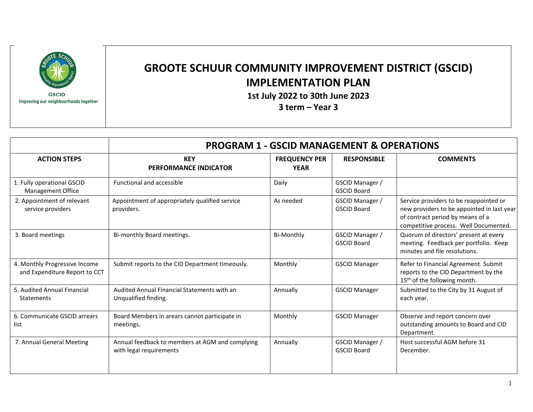

## **GROOTE SCHUUR COMMUNITY IMPROVEMENT DISTRICT (GSCID) IMPLEMENTATION PLAN**

**1st July 2022 to 30th June 2023**

**3 term – Year 3**

|                                                                | <b>PROGRAM 1 - GSCID MANAGEMENT &amp; OPERATIONS</b>                       |                                     |                                       |                                                                                                                                                                   |
|----------------------------------------------------------------|----------------------------------------------------------------------------|-------------------------------------|---------------------------------------|-------------------------------------------------------------------------------------------------------------------------------------------------------------------|
| <b>ACTION STEPS</b>                                            | <b>KEY</b><br><b>PERFORMANCE INDICATOR</b>                                 | <b>FREQUENCY PER</b><br><b>YEAR</b> | <b>RESPONSIBLE</b>                    | <b>COMMENTS</b>                                                                                                                                                   |
| 1. Fully operational GSCID<br>Management Office                | <b>Functional and accessible</b>                                           | Daily                               | GSCID Manager /<br><b>GSCID Board</b> |                                                                                                                                                                   |
| 2. Appointment of relevant<br>service providers                | Appointment of appropriately qualified service<br>providers.               | As needed                           | GSCID Manager /<br><b>GSCID Board</b> | Service providers to be reappointed or<br>new providers to be appointed in last year<br>of contract period by means of a<br>competitive process. Well Documented. |
| 3. Board meetings                                              | Bi-monthly Board meetings.                                                 | <b>Bi-Monthly</b>                   | GSCID Manager /<br><b>GSCID Board</b> | Quorum of directors' present at every<br>meeting. Feedback per portfolio. Keep<br>minutes and file resolutions.                                                   |
| 4. Monthly Progressive Income<br>and Expenditure Report to CCT | Submit reports to the CID Department timeously.                            | Monthly                             | <b>GSCID Manager</b>                  | Refer to Financial Agreement. Submit<br>reports to the CID Department by the<br>15 <sup>th</sup> of the following month.                                          |
| 5. Audited Annual Financial<br><b>Statements</b>               | Audited Annual Financial Statements with an<br>Unqualified finding.        | Annually                            | <b>GSCID Manager</b>                  | Submitted to the City by 31 August of<br>each year.                                                                                                               |
| 6. Communicate GSCID arrears<br>list                           | Board Members in arears cannot participate in<br>meetings.                 | Monthly                             | <b>GSCID Manager</b>                  | Observe and report concern over<br>outstanding amounts to Board and CID<br>Department.                                                                            |
| 7. Annual General Meeting                                      | Annual feedback to members at AGM and complying<br>with legal requirements | Annually                            | GSCID Manager /<br><b>GSCID Board</b> | Host successful AGM before 31<br>December.                                                                                                                        |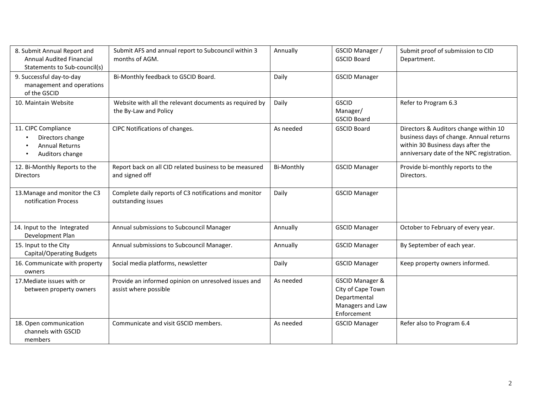| 8. Submit Annual Report and<br><b>Annual Audited Financial</b><br>Statements to Sub-council(s) | Submit AFS and annual report to Subcouncil within 3<br>months of AGM.           | Annually          | GSCID Manager /<br><b>GSCID Board</b>                                                              | Submit proof of submission to CID<br>Department.                                                                                                                   |
|------------------------------------------------------------------------------------------------|---------------------------------------------------------------------------------|-------------------|----------------------------------------------------------------------------------------------------|--------------------------------------------------------------------------------------------------------------------------------------------------------------------|
| 9. Successful day-to-day<br>management and operations<br>of the GSCID                          | Bi-Monthly feedback to GSCID Board.                                             | Daily             | <b>GSCID Manager</b>                                                                               |                                                                                                                                                                    |
| 10. Maintain Website                                                                           | Website with all the relevant documents as required by<br>the By-Law and Policy | Daily             | <b>GSCID</b><br>Manager/<br><b>GSCID Board</b>                                                     | Refer to Program 6.3                                                                                                                                               |
| 11. CIPC Compliance<br>Directors change<br><b>Annual Returns</b><br>Auditors change            | CIPC Notifications of changes.                                                  | As needed         | <b>GSCID Board</b>                                                                                 | Directors & Auditors change within 10<br>business days of change. Annual returns<br>within 30 Business days after the<br>anniversary date of the NPC registration. |
| 12. Bi-Monthly Reports to the<br><b>Directors</b>                                              | Report back on all CID related business to be measured<br>and signed off        | <b>Bi-Monthly</b> | <b>GSCID Manager</b>                                                                               | Provide bi-monthly reports to the<br>Directors.                                                                                                                    |
| 13. Manage and monitor the C3<br>notification Process                                          | Complete daily reports of C3 notifications and monitor<br>outstanding issues    | Daily             | <b>GSCID Manager</b>                                                                               |                                                                                                                                                                    |
| 14. Input to the Integrated<br>Development Plan                                                | Annual submissions to Subcouncil Manager                                        | Annually          | <b>GSCID Manager</b>                                                                               | October to February of every year.                                                                                                                                 |
| 15. Input to the City<br><b>Capital/Operating Budgets</b>                                      | Annual submissions to Subcouncil Manager.                                       | Annually          | <b>GSCID Manager</b>                                                                               | By September of each year.                                                                                                                                         |
| 16. Communicate with property<br>owners                                                        | Social media platforms, newsletter                                              | Daily             | <b>GSCID Manager</b>                                                                               | Keep property owners informed.                                                                                                                                     |
| 17. Mediate issues with or<br>between property owners                                          | Provide an informed opinion on unresolved issues and<br>assist where possible   | As needed         | <b>GSCID Manager &amp;</b><br>City of Cape Town<br>Departmental<br>Managers and Law<br>Enforcement |                                                                                                                                                                    |
| 18. Open communication<br>channels with GSCID<br>members                                       | Communicate and visit GSCID members.                                            | As needed         | <b>GSCID Manager</b>                                                                               | Refer also to Program 6.4                                                                                                                                          |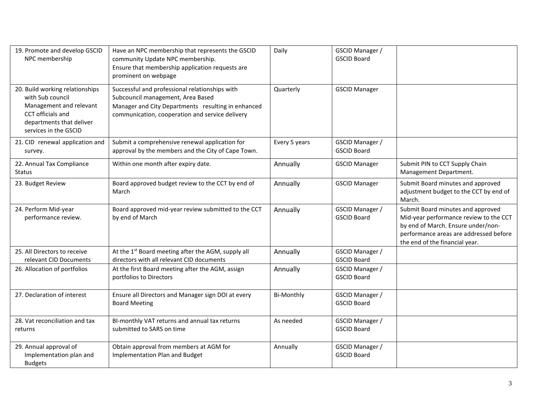| 19. Promote and develop GSCID<br>NPC membership                                                                                                          | Have an NPC membership that represents the GSCID<br>community Update NPC membership.<br>Ensure that membership application requests are<br>prominent on webpage                              | Daily             | GSCID Manager /<br><b>GSCID Board</b> |                                                                                                                                                                                               |
|----------------------------------------------------------------------------------------------------------------------------------------------------------|----------------------------------------------------------------------------------------------------------------------------------------------------------------------------------------------|-------------------|---------------------------------------|-----------------------------------------------------------------------------------------------------------------------------------------------------------------------------------------------|
| 20. Build working relationships<br>with Sub council<br>Management and relevant<br>CCT officials and<br>departments that deliver<br>services in the GSCID | Successful and professional relationships with<br>Subcouncil management, Area Based<br>Manager and City Departments resulting in enhanced<br>communication, cooperation and service delivery | Quarterly         | <b>GSCID Manager</b>                  |                                                                                                                                                                                               |
| 21. CID renewal application and<br>survey.                                                                                                               | Submit a comprehensive renewal application for<br>approval by the members and the City of Cape Town.                                                                                         | Every 5 years     | GSCID Manager /<br><b>GSCID Board</b> |                                                                                                                                                                                               |
| 22. Annual Tax Compliance<br><b>Status</b>                                                                                                               | Within one month after expiry date.                                                                                                                                                          | Annually          | <b>GSCID Manager</b>                  | Submit PIN to CCT Supply Chain<br>Management Department.                                                                                                                                      |
| 23. Budget Review                                                                                                                                        | Board approved budget review to the CCT by end of<br>March                                                                                                                                   | Annually          | <b>GSCID Manager</b>                  | Submit Board minutes and approved<br>adjustment budget to the CCT by end of<br>March.                                                                                                         |
| 24. Perform Mid-year<br>performance review.                                                                                                              | Board approved mid-year review submitted to the CCT<br>by end of March                                                                                                                       | Annually          | GSCID Manager /<br><b>GSCID Board</b> | Submit Board minutes and approved<br>Mid-year performance review to the CCT<br>by end of March. Ensure under/non-<br>performance areas are addressed before<br>the end of the financial year. |
| 25. All Directors to receive<br>relevant CID Documents                                                                                                   | At the 1st Board meeting after the AGM, supply all<br>directors with all relevant CID documents                                                                                              | Annually          | GSCID Manager /<br><b>GSCID Board</b> |                                                                                                                                                                                               |
| 26. Allocation of portfolios                                                                                                                             | At the first Board meeting after the AGM, assign<br>portfolios to Directors                                                                                                                  | Annually          | GSCID Manager /<br><b>GSCID Board</b> |                                                                                                                                                                                               |
| 27. Declaration of interest                                                                                                                              | Ensure all Directors and Manager sign DOI at every<br><b>Board Meeting</b>                                                                                                                   | <b>Bi-Monthly</b> | GSCID Manager /<br><b>GSCID Board</b> |                                                                                                                                                                                               |
| 28. Vat reconciliation and tax<br>returns                                                                                                                | BI-monthly VAT returns and annual tax returns<br>submitted to SARS on time                                                                                                                   | As needed         | GSCID Manager /<br><b>GSCID Board</b> |                                                                                                                                                                                               |
| 29. Annual approval of<br>Implementation plan and<br><b>Budgets</b>                                                                                      | Obtain approval from members at AGM for<br>Implementation Plan and Budget                                                                                                                    | Annually          | GSCID Manager /<br><b>GSCID Board</b> |                                                                                                                                                                                               |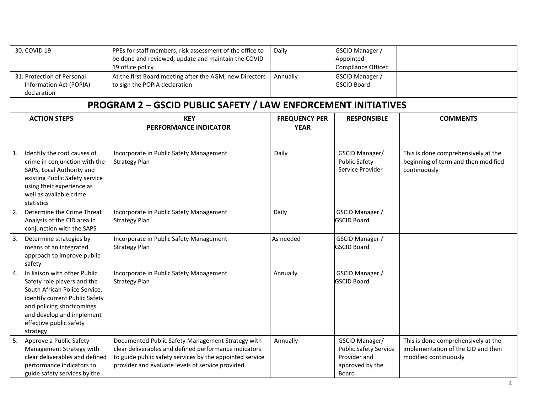|                  | 30. COVID 19                                                                                                                                                                                                                    | PPEs for staff members, risk assessment of the office to<br>be done and reviewed, update and maintain the COVID<br>19 office policy                                                                                         | Daily                               | GSCID Manager /<br>Appointed<br>Compliance Officer                                         |                                                                                                    |
|------------------|---------------------------------------------------------------------------------------------------------------------------------------------------------------------------------------------------------------------------------|-----------------------------------------------------------------------------------------------------------------------------------------------------------------------------------------------------------------------------|-------------------------------------|--------------------------------------------------------------------------------------------|----------------------------------------------------------------------------------------------------|
|                  | 31. Protection of Personal<br>Information Act (POPIA)<br>declaration                                                                                                                                                            | At the first Board meeting after the AGM, new Directors<br>to sign the POPIA declaration                                                                                                                                    | Annually                            | GSCID Manager /<br><b>GSCID Board</b>                                                      |                                                                                                    |
|                  |                                                                                                                                                                                                                                 | <b>PROGRAM 2 - GSCID PUBLIC SAFETY / LAW ENFORCEMENT INITIATIVES</b>                                                                                                                                                        |                                     |                                                                                            |                                                                                                    |
|                  | <b>ACTION STEPS</b>                                                                                                                                                                                                             | <b>KEY</b><br><b>PERFORMANCE INDICATOR</b>                                                                                                                                                                                  | <b>FREQUENCY PER</b><br><b>YEAR</b> | <b>RESPONSIBLE</b>                                                                         | <b>COMMENTS</b>                                                                                    |
| 1.               | Identify the root causes of<br>crime in conjunction with the<br>SAPS, Local Authority and<br>existing Public Safety service<br>using their experience as<br>well as available crime<br>statistics                               | Incorporate in Public Safety Management<br><b>Strategy Plan</b>                                                                                                                                                             | Daily                               | GSCID Manager/<br><b>Public Safety</b><br>Service Provider                                 | This is done comprehensively at the<br>beginning of term and then modified<br>continuously         |
| $\vert$ 2.       | Determine the Crime Threat<br>Analysis of the CID area in<br>conjunction with the SAPS                                                                                                                                          | Incorporate in Public Safety Management<br><b>Strategy Plan</b>                                                                                                                                                             | Daily                               | <b>GSCID Manager /</b><br><b>GSCID Board</b>                                               |                                                                                                    |
| 3.               | Determine strategies by<br>means of an integrated<br>approach to improve public<br>safety                                                                                                                                       | Incorporate in Public Safety Management<br><b>Strategy Plan</b>                                                                                                                                                             | As needed                           | <b>GSCID Manager /</b><br><b>GSCID Board</b>                                               |                                                                                                    |
| $\overline{4}$ . | In liaison with other Public<br>Safety role players and the<br>South African Police Service,<br>identify current Public Safety<br>and policing shortcomings<br>and develop and implement<br>effective public safety<br>strategy | Incorporate in Public Safety Management<br><b>Strategy Plan</b>                                                                                                                                                             | Annually                            | <b>GSCID Manager /</b><br><b>GSCID Board</b>                                               |                                                                                                    |
| 5.               | Approve a Public Safety<br>Management Strategy with<br>clear deliverables and defined<br>performance indicators to<br>guide safety services by the                                                                              | Documented Public Safety Management Strategy with<br>clear deliverables and defined performance indicators<br>to guide public safety services by the appointed service<br>provider and evaluate levels of service provided. | Annually                            | GSCID Manager/<br><b>Public Safety Service</b><br>Provider and<br>approved by the<br>Board | This is done comprehensively at the<br>implementation of the CID and then<br>modified continuously |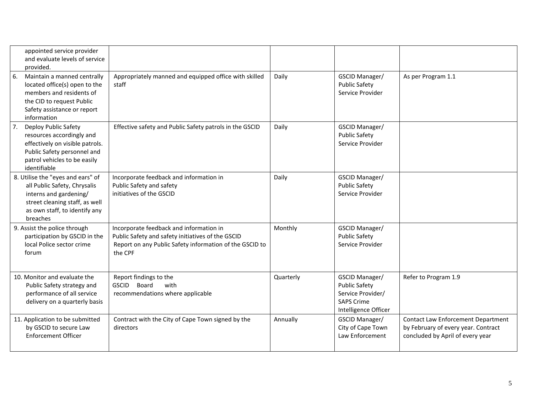|    | appointed service provider<br>and evaluate levels of service<br>provided.                                                                                                  |                                                                                                                                                                    |           |                                                                                                          |                                                                                                               |
|----|----------------------------------------------------------------------------------------------------------------------------------------------------------------------------|--------------------------------------------------------------------------------------------------------------------------------------------------------------------|-----------|----------------------------------------------------------------------------------------------------------|---------------------------------------------------------------------------------------------------------------|
| 6. | Maintain a manned centrally<br>located office(s) open to the<br>members and residents of<br>the CID to request Public<br>Safety assistance or report<br>information        | Appropriately manned and equipped office with skilled<br>staff                                                                                                     | Daily     | GSCID Manager/<br><b>Public Safety</b><br>Service Provider                                               | As per Program 1.1                                                                                            |
| 7. | Deploy Public Safety<br>resources accordingly and<br>effectively on visible patrols.<br>Public Safety personnel and<br>patrol vehicles to be easily<br>identifiable        | Effective safety and Public Safety patrols in the GSCID                                                                                                            | Daily     | GSCID Manager/<br><b>Public Safety</b><br>Service Provider                                               |                                                                                                               |
|    | 8. Utilise the "eyes and ears" of<br>all Public Safety, Chrysalis<br>interns and gardening/<br>street cleaning staff, as well<br>as own staff, to identify any<br>breaches | Incorporate feedback and information in<br>Public Safety and safety<br>initiatives of the GSCID                                                                    | Daily     | GSCID Manager/<br><b>Public Safety</b><br>Service Provider                                               |                                                                                                               |
|    | 9. Assist the police through<br>participation by GSCID in the<br>local Police sector crime<br>forum                                                                        | Incorporate feedback and information in<br>Public Safety and safety initiatives of the GSCID<br>Report on any Public Safety information of the GSCID to<br>the CPF | Monthly   | GSCID Manager/<br><b>Public Safety</b><br>Service Provider                                               |                                                                                                               |
|    | 10. Monitor and evaluate the<br>Public Safety strategy and<br>performance of all service<br>delivery on a quarterly basis                                                  | Report findings to the<br><b>GSCID</b><br>Board<br>with<br>recommendations where applicable                                                                        | Quarterly | GSCID Manager/<br><b>Public Safety</b><br>Service Provider/<br><b>SAPS Crime</b><br>Intelligence Officer | Refer to Program 1.9                                                                                          |
|    | 11. Application to be submitted<br>by GSCID to secure Law<br><b>Enforcement Officer</b>                                                                                    | Contract with the City of Cape Town signed by the<br>directors                                                                                                     | Annually  | GSCID Manager/<br>City of Cape Town<br>Law Enforcement                                                   | Contact Law Enforcement Department<br>by February of every year. Contract<br>concluded by April of every year |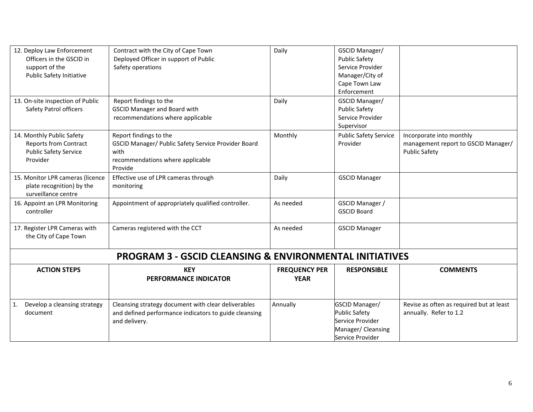| 12. Deploy Law Enforcement<br>Officers in the GSCID in<br>support of the<br>Public Safety Initiative  | Contract with the City of Cape Town<br>Deployed Officer in support of Public<br>Safety operations                                    | Daily                               | GSCID Manager/<br><b>Public Safety</b><br>Service Provider<br>Manager/City of<br>Cape Town Law<br>Enforcement |                                                                                         |
|-------------------------------------------------------------------------------------------------------|--------------------------------------------------------------------------------------------------------------------------------------|-------------------------------------|---------------------------------------------------------------------------------------------------------------|-----------------------------------------------------------------------------------------|
| 13. On-site inspection of Public<br>Safety Patrol officers                                            | Report findings to the<br><b>GSCID Manager and Board with</b><br>recommendations where applicable                                    | Daily                               | GSCID Manager/<br><b>Public Safety</b><br>Service Provider<br>Supervisor                                      |                                                                                         |
| 14. Monthly Public Safety<br><b>Reports from Contract</b><br><b>Public Safety Service</b><br>Provider | Report findings to the<br>GSCID Manager/ Public Safety Service Provider Board<br>with<br>recommendations where applicable<br>Provide | Monthly                             | <b>Public Safety Service</b><br>Provider                                                                      | Incorporate into monthly<br>management report to GSCID Manager/<br><b>Public Safety</b> |
| 15. Monitor LPR cameras (licence<br>plate recognition) by the<br>surveillance centre                  | Effective use of LPR cameras through<br>monitoring                                                                                   | Daily                               | <b>GSCID Manager</b>                                                                                          |                                                                                         |
| 16. Appoint an LPR Monitoring<br>controller                                                           | Appointment of appropriately qualified controller.                                                                                   | As needed                           | GSCID Manager /<br><b>GSCID Board</b>                                                                         |                                                                                         |
| 17. Register LPR Cameras with<br>the City of Cape Town                                                | Cameras registered with the CCT                                                                                                      | As needed                           | <b>GSCID Manager</b>                                                                                          |                                                                                         |
|                                                                                                       | <b>PROGRAM 3 - GSCID CLEANSING &amp; ENVIRONMENTAL INITIATIVES</b>                                                                   |                                     |                                                                                                               |                                                                                         |
| <b>ACTION STEPS</b>                                                                                   | <b>KEY</b><br>PERFORMANCE INDICATOR                                                                                                  | <b>FREQUENCY PER</b><br><b>YEAR</b> | <b>RESPONSIBLE</b>                                                                                            | <b>COMMENTS</b>                                                                         |
| $\mathbf{1}$ .<br>Develop a cleansing strategy<br>document                                            | Cleansing strategy document with clear deliverables<br>and defined performance indicators to guide cleansing<br>and delivery.        | Annually                            | GSCID Manager/<br><b>Public Safety</b><br>Service Provider<br>Manager/Cleansing<br>Service Provider           | Revise as often as required but at least<br>annually. Refer to 1.2                      |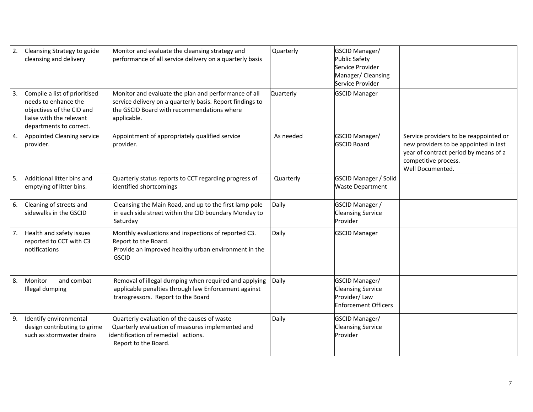| $\overline{2}$ . | Cleansing Strategy to guide<br>cleansing and delivery                                                                                     | Monitor and evaluate the cleansing strategy and<br>performance of all service delivery on a quarterly basis                                                                    | Quarterly | GSCID Manager/<br><b>Public Safety</b><br>Service Provider<br>Manager/ Cleansing<br>Service Provider |                                                                                                                                                                      |
|------------------|-------------------------------------------------------------------------------------------------------------------------------------------|--------------------------------------------------------------------------------------------------------------------------------------------------------------------------------|-----------|------------------------------------------------------------------------------------------------------|----------------------------------------------------------------------------------------------------------------------------------------------------------------------|
| 3.               | Compile a list of prioritised<br>needs to enhance the<br>objectives of the CID and<br>liaise with the relevant<br>departments to correct. | Monitor and evaluate the plan and performance of all<br>service delivery on a quarterly basis. Report findings to<br>the GSCID Board with recommendations where<br>applicable. | Quarterly | <b>GSCID Manager</b>                                                                                 |                                                                                                                                                                      |
| 4.               | <b>Appointed Cleaning service</b><br>provider.                                                                                            | Appointment of appropriately qualified service<br>provider.                                                                                                                    | As needed | GSCID Manager/<br><b>GSCID Board</b>                                                                 | Service providers to be reappointed or<br>new providers to be appointed in last<br>year of contract period by means of a<br>competitive process.<br>Well Documented. |
| 5.               | Additional litter bins and<br>emptying of litter bins.                                                                                    | Quarterly status reports to CCT regarding progress of<br>identified shortcomings                                                                                               | Quarterly | <b>GSCID Manager / Solid</b><br><b>Waste Department</b>                                              |                                                                                                                                                                      |
| 6.               | Cleaning of streets and<br>sidewalks in the GSCID                                                                                         | Cleansing the Main Road, and up to the first lamp pole<br>in each side street within the CID boundary Monday to<br>Saturday                                                    | Daily     | <b>GSCID Manager /</b><br><b>Cleansing Service</b><br>Provider                                       |                                                                                                                                                                      |
| 7.               | Health and safety issues<br>reported to CCT with C3<br>notifications                                                                      | Monthly evaluations and inspections of reported C3.<br>Report to the Board.<br>Provide an improved healthy urban environment in the<br><b>GSCID</b>                            | Daily     | <b>GSCID Manager</b>                                                                                 |                                                                                                                                                                      |
| 8.               | Monitor<br>and combat<br>Illegal dumping                                                                                                  | Removal of illegal dumping when required and applying<br>applicable penalties through law Enforcement against<br>transgressors. Report to the Board                            | Daily     | GSCID Manager/<br><b>Cleansing Service</b><br>Provider/Law<br><b>Enforcement Officers</b>            |                                                                                                                                                                      |
| 9.               | Identify environmental<br>design contributing to grime<br>such as stormwater drains                                                       | Quarterly evaluation of the causes of waste<br>Quarterly evaluation of measures implemented and<br>identification of remedial actions.<br>Report to the Board.                 | Daily     | GSCID Manager/<br><b>Cleansing Service</b><br>Provider                                               |                                                                                                                                                                      |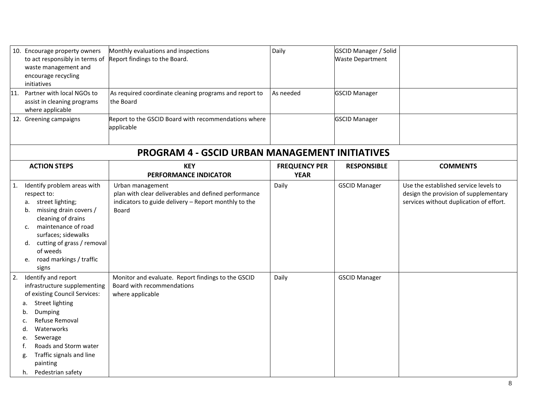|                  | 10. Encourage property owners<br>to act responsibly in terms of<br>waste management and<br>encourage recycling<br>initiatives                                                                                                                                                                   | Monthly evaluations and inspections<br>Report findings to the Board.                                                                      | Daily                               | <b>GSCID Manager / Solid</b><br><b>Waste Department</b> |                                                                                                                           |
|------------------|-------------------------------------------------------------------------------------------------------------------------------------------------------------------------------------------------------------------------------------------------------------------------------------------------|-------------------------------------------------------------------------------------------------------------------------------------------|-------------------------------------|---------------------------------------------------------|---------------------------------------------------------------------------------------------------------------------------|
|                  | 11. Partner with local NGOs to<br>assist in cleaning programs<br>where applicable                                                                                                                                                                                                               | As required coordinate cleaning programs and report to<br>the Board                                                                       | As needed                           | <b>GSCID Manager</b>                                    |                                                                                                                           |
|                  | 12. Greening campaigns                                                                                                                                                                                                                                                                          | Report to the GSCID Board with recommendations where<br>applicable                                                                        |                                     | <b>GSCID Manager</b>                                    |                                                                                                                           |
|                  |                                                                                                                                                                                                                                                                                                 | <b>PROGRAM 4 - GSCID URBAN MANAGEMENT INITIATIVES</b>                                                                                     |                                     |                                                         |                                                                                                                           |
|                  | <b>ACTION STEPS</b>                                                                                                                                                                                                                                                                             | <b>KEY</b><br>PERFORMANCE INDICATOR                                                                                                       | <b>FREQUENCY PER</b><br><b>YEAR</b> | <b>RESPONSIBLE</b>                                      | <b>COMMENTS</b>                                                                                                           |
| 1.               | Identify problem areas with<br>respect to:<br>a. street lighting;<br>missing drain covers /<br>b.<br>cleaning of drains<br>maintenance of road<br>c.<br>surfaces; sidewalks<br>d. cutting of grass / removal<br>of weeds<br>e. road markings / traffic<br>signs                                 | Urban management<br>plan with clear deliverables and defined performance<br>indicators to guide delivery - Report monthly to the<br>Board | Daily                               | <b>GSCID Manager</b>                                    | Use the established service levels to<br>design the provision of supplementary<br>services without duplication of effort. |
| $\overline{2}$ . | Identify and report<br>infrastructure supplementing<br>of existing Council Services:<br><b>Street lighting</b><br>а.<br>Dumping<br>b.<br>Refuse Removal<br>Waterworks<br>d.<br>Sewerage<br>e.<br>Roads and Storm water<br>Traffic signals and line<br>g.<br>painting<br>Pedestrian safety<br>h. | Monitor and evaluate. Report findings to the GSCID<br>Board with recommendations<br>where applicable                                      | Daily                               | <b>GSCID Manager</b>                                    |                                                                                                                           |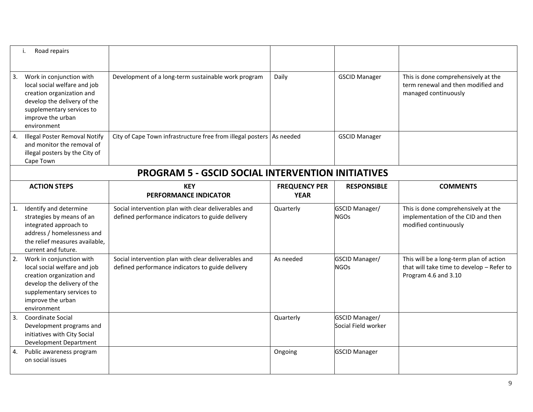|    | Road repairs<br>i.                                                                                                                                                                    |                                                                                                          |                                     |                                       |                                                                                                              |
|----|---------------------------------------------------------------------------------------------------------------------------------------------------------------------------------------|----------------------------------------------------------------------------------------------------------|-------------------------------------|---------------------------------------|--------------------------------------------------------------------------------------------------------------|
| 3. | Work in conjunction with<br>local social welfare and job<br>creation organization and<br>develop the delivery of the<br>supplementary services to<br>improve the urban<br>environment | Development of a long-term sustainable work program                                                      | Daily                               | <b>GSCID Manager</b>                  | This is done comprehensively at the<br>term renewal and then modified and<br>managed continuously            |
| 4. | <b>Illegal Poster Removal Notify</b><br>and monitor the removal of<br>illegal posters by the City of<br>Cape Town                                                                     | City of Cape Town infrastructure free from illegal posters   As needed                                   |                                     | <b>GSCID Manager</b>                  |                                                                                                              |
|    |                                                                                                                                                                                       | <b>PROGRAM 5 - GSCID SOCIAL INTERVENTION INITIATIVES</b>                                                 |                                     |                                       |                                                                                                              |
|    | <b>ACTION STEPS</b>                                                                                                                                                                   | <b>KEY</b><br><b>PERFORMANCE INDICATOR</b>                                                               | <b>FREQUENCY PER</b><br><b>YEAR</b> | <b>RESPONSIBLE</b>                    | <b>COMMENTS</b>                                                                                              |
| 1. | Identify and determine<br>strategies by means of an<br>integrated approach to<br>address / homelessness and<br>the relief measures available,<br>current and future.                  | Social intervention plan with clear deliverables and<br>defined performance indicators to guide delivery | Quarterly                           | GSCID Manager/<br><b>NGOs</b>         | This is done comprehensively at the<br>implementation of the CID and then<br>modified continuously           |
| 2. | Work in conjunction with<br>local social welfare and job<br>creation organization and<br>develop the delivery of the<br>supplementary services to<br>improve the urban<br>environment | Social intervention plan with clear deliverables and<br>defined performance indicators to guide delivery | As needed                           | GSCID Manager/<br><b>NGOs</b>         | This will be a long-term plan of action<br>that will take time to develop - Refer to<br>Program 4.6 and 3.10 |
| 3. | Coordinate Social<br>Development programs and<br>initiatives with City Social<br><b>Development Department</b>                                                                        |                                                                                                          | Quarterly                           | GSCID Manager/<br>Social Field worker |                                                                                                              |
|    | Public awareness program<br>on social issues                                                                                                                                          |                                                                                                          | Ongoing                             | <b>GSCID Manager</b>                  |                                                                                                              |